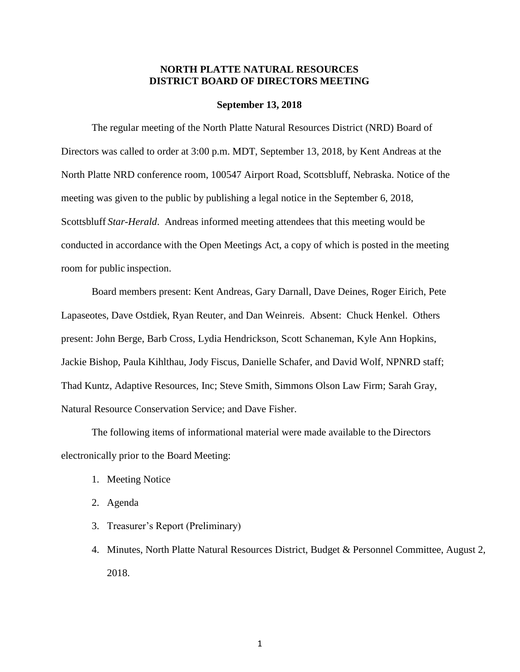### **NORTH PLATTE NATURAL RESOURCES DISTRICT BOARD OF DIRECTORS MEETING**

### **September 13, 2018**

The regular meeting of the North Platte Natural Resources District (NRD) Board of Directors was called to order at 3:00 p.m. MDT, September 13, 2018, by Kent Andreas at the North Platte NRD conference room, 100547 Airport Road, Scottsbluff, Nebraska. Notice of the meeting was given to the public by publishing a legal notice in the September 6, 2018, Scottsbluff *Star-Herald*. Andreas informed meeting attendees that this meeting would be conducted in accordance with the Open Meetings Act, a copy of which is posted in the meeting room for public inspection.

Board members present: Kent Andreas, Gary Darnall, Dave Deines, Roger Eirich, Pete Lapaseotes, Dave Ostdiek, Ryan Reuter, and Dan Weinreis. Absent: Chuck Henkel. Others present: John Berge, Barb Cross, Lydia Hendrickson, Scott Schaneman, Kyle Ann Hopkins, Jackie Bishop, Paula Kihlthau, Jody Fiscus, Danielle Schafer, and David Wolf, NPNRD staff; Thad Kuntz, Adaptive Resources, Inc; Steve Smith, Simmons Olson Law Firm; Sarah Gray, Natural Resource Conservation Service; and Dave Fisher.

The following items of informational material were made available to the Directors electronically prior to the Board Meeting:

- 1. Meeting Notice
- 2. Agenda
- 3. Treasurer's Report (Preliminary)
- 4. Minutes, North Platte Natural Resources District, Budget & Personnel Committee, August 2, 2018.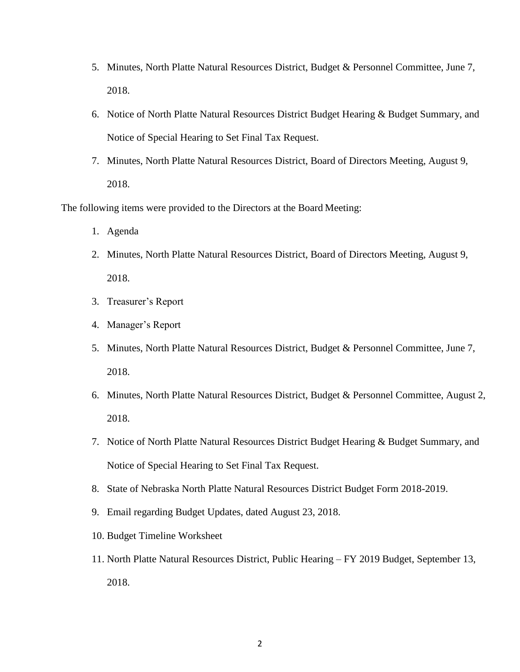- 5. Minutes, North Platte Natural Resources District, Budget & Personnel Committee, June 7, 2018.
- 6. Notice of North Platte Natural Resources District Budget Hearing & Budget Summary, and Notice of Special Hearing to Set Final Tax Request.
- 7. Minutes, North Platte Natural Resources District, Board of Directors Meeting, August 9, 2018.

The following items were provided to the Directors at the Board Meeting:

- 1. Agenda
- 2. Minutes, North Platte Natural Resources District, Board of Directors Meeting, August 9, 2018.
- 3. Treasurer's Report
- 4. Manager's Report
- 5. Minutes, North Platte Natural Resources District, Budget & Personnel Committee, June 7, 2018.
- 6. Minutes, North Platte Natural Resources District, Budget & Personnel Committee, August 2, 2018.
- 7. Notice of North Platte Natural Resources District Budget Hearing & Budget Summary, and Notice of Special Hearing to Set Final Tax Request.
- 8. State of Nebraska North Platte Natural Resources District Budget Form 2018-2019.
- 9. Email regarding Budget Updates, dated August 23, 2018.
- 10. Budget Timeline Worksheet
- 11. North Platte Natural Resources District, Public Hearing FY 2019 Budget, September 13, 2018.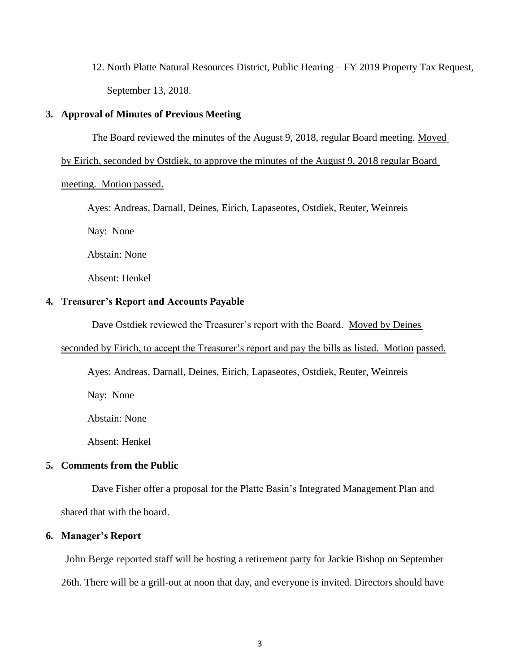12. North Platte Natural Resources District, Public Hearing – FY 2019 Property Tax Request, September 13, 2018.

### **3. Approval of Minutes of Previous Meeting**

The Board reviewed the minutes of the August 9, 2018, regular Board meeting. Moved

by Eirich, seconded by Ostdiek, to approve the minutes of the August 9, 2018 regular Board

meeting. Motion passed.

Ayes: Andreas, Darnall, Deines, Eirich, Lapaseotes, Ostdiek, Reuter, Weinreis

Nay: None

Abstain: None

Absent: Henkel

### **4. Treasurer's Report and Accounts Payable**

Dave Ostdiek reviewed the Treasurer's report with the Board. Moved by Deines

### seconded by Eirich, to accept the Treasurer's report and pay the bills as listed. Motion passed.

Ayes: Andreas, Darnall, Deines, Eirich, Lapaseotes, Ostdiek, Reuter, Weinreis

Nay: None

Abstain: None

Absent: Henkel

### **5. Comments from the Public**

Dave Fisher offer a proposal for the Platte Basin's Integrated Management Plan and shared that with the board.

### **6. Manager's Report**

John Berge reported staff will be hosting a retirement party for Jackie Bishop on September 26th. There will be a grill-out at noon that day, and everyone is invited. Directors should have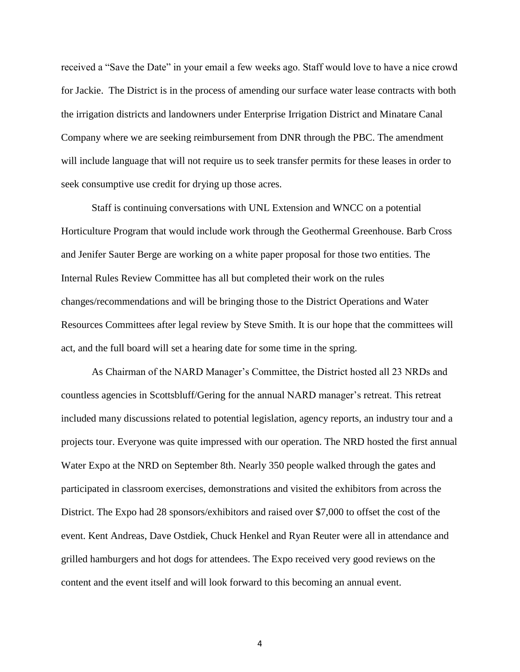received a "Save the Date" in your email a few weeks ago. Staff would love to have a nice crowd for Jackie. The District is in the process of amending our surface water lease contracts with both the irrigation districts and landowners under Enterprise Irrigation District and Minatare Canal Company where we are seeking reimbursement from DNR through the PBC. The amendment will include language that will not require us to seek transfer permits for these leases in order to seek consumptive use credit for drying up those acres.

Staff is continuing conversations with UNL Extension and WNCC on a potential Horticulture Program that would include work through the Geothermal Greenhouse. Barb Cross and Jenifer Sauter Berge are working on a white paper proposal for those two entities. The Internal Rules Review Committee has all but completed their work on the rules changes/recommendations and will be bringing those to the District Operations and Water Resources Committees after legal review by Steve Smith. It is our hope that the committees will act, and the full board will set a hearing date for some time in the spring.

As Chairman of the NARD Manager's Committee, the District hosted all 23 NRDs and countless agencies in Scottsbluff/Gering for the annual NARD manager's retreat. This retreat included many discussions related to potential legislation, agency reports, an industry tour and a projects tour. Everyone was quite impressed with our operation. The NRD hosted the first annual Water Expo at the NRD on September 8th. Nearly 350 people walked through the gates and participated in classroom exercises, demonstrations and visited the exhibitors from across the District. The Expo had 28 sponsors/exhibitors and raised over \$7,000 to offset the cost of the event. Kent Andreas, Dave Ostdiek, Chuck Henkel and Ryan Reuter were all in attendance and grilled hamburgers and hot dogs for attendees. The Expo received very good reviews on the content and the event itself and will look forward to this becoming an annual event.

4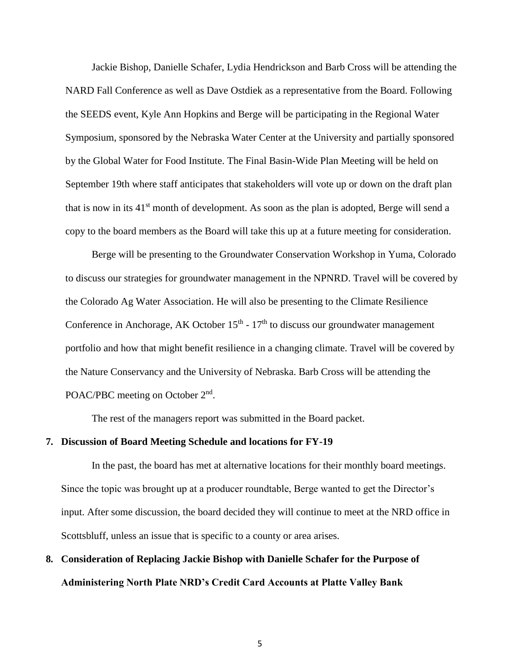Jackie Bishop, Danielle Schafer, Lydia Hendrickson and Barb Cross will be attending the NARD Fall Conference as well as Dave Ostdiek as a representative from the Board. Following the SEEDS event, Kyle Ann Hopkins and Berge will be participating in the Regional Water Symposium, sponsored by the Nebraska Water Center at the University and partially sponsored by the Global Water for Food Institute. The Final Basin-Wide Plan Meeting will be held on September 19th where staff anticipates that stakeholders will vote up or down on the draft plan that is now in its  $41<sup>st</sup>$  month of development. As soon as the plan is adopted, Berge will send a copy to the board members as the Board will take this up at a future meeting for consideration.

Berge will be presenting to the Groundwater Conservation Workshop in Yuma, Colorado to discuss our strategies for groundwater management in the NPNRD. Travel will be covered by the Colorado Ag Water Association. He will also be presenting to the Climate Resilience Conference in Anchorage, AK October  $15<sup>th</sup>$  -  $17<sup>th</sup>$  to discuss our groundwater management portfolio and how that might benefit resilience in a changing climate. Travel will be covered by the Nature Conservancy and the University of Nebraska. Barb Cross will be attending the POAC/PBC meeting on October 2<sup>nd</sup>.

The rest of the managers report was submitted in the Board packet.

### **7. Discussion of Board Meeting Schedule and locations for FY-19**

In the past, the board has met at alternative locations for their monthly board meetings. Since the topic was brought up at a producer roundtable, Berge wanted to get the Director's input. After some discussion, the board decided they will continue to meet at the NRD office in Scottsbluff, unless an issue that is specific to a county or area arises.

# **8. Consideration of Replacing Jackie Bishop with Danielle Schafer for the Purpose of Administering North Plate NRD's Credit Card Accounts at Platte Valley Bank**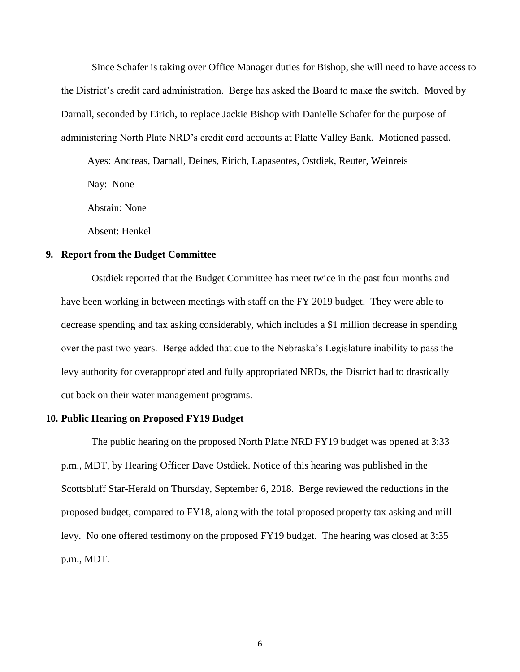Since Schafer is taking over Office Manager duties for Bishop, she will need to have access to the District's credit card administration. Berge has asked the Board to make the switch. Moved by Darnall, seconded by Eirich, to replace Jackie Bishop with Danielle Schafer for the purpose of administering North Plate NRD's credit card accounts at Platte Valley Bank. Motioned passed.

Ayes: Andreas, Darnall, Deines, Eirich, Lapaseotes, Ostdiek, Reuter, Weinreis Nay: None

Abstain: None

Absent: Henkel

### **9. Report from the Budget Committee**

Ostdiek reported that the Budget Committee has meet twice in the past four months and have been working in between meetings with staff on the FY 2019 budget. They were able to decrease spending and tax asking considerably, which includes a \$1 million decrease in spending over the past two years. Berge added that due to the Nebraska's Legislature inability to pass the levy authority for overappropriated and fully appropriated NRDs, the District had to drastically cut back on their water management programs.

### **10. Public Hearing on Proposed FY19 Budget**

The public hearing on the proposed North Platte NRD FY19 budget was opened at 3:33 p.m., MDT, by Hearing Officer Dave Ostdiek. Notice of this hearing was published in the Scottsbluff Star-Herald on Thursday, September 6, 2018. Berge reviewed the reductions in the proposed budget, compared to FY18, along with the total proposed property tax asking and mill levy. No one offered testimony on the proposed FY19 budget. The hearing was closed at 3:35 p.m., MDT.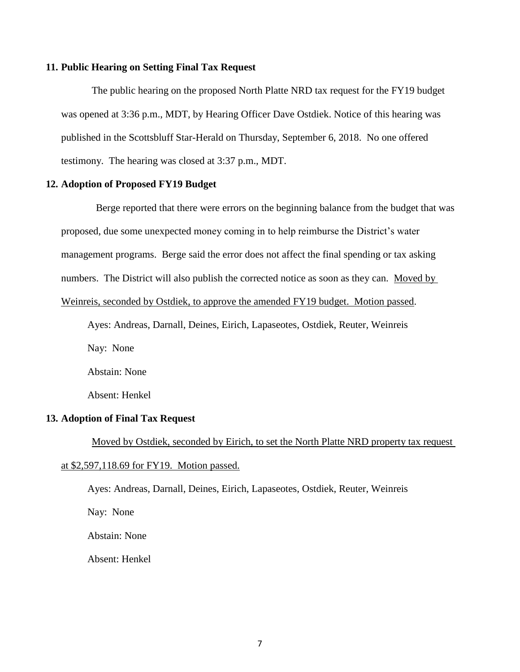### **11. Public Hearing on Setting Final Tax Request**

The public hearing on the proposed North Platte NRD tax request for the FY19 budget was opened at 3:36 p.m., MDT, by Hearing Officer Dave Ostdiek. Notice of this hearing was published in the Scottsbluff Star-Herald on Thursday, September 6, 2018. No one offered testimony. The hearing was closed at 3:37 p.m., MDT.

### **12. Adoption of Proposed FY19 Budget**

Berge reported that there were errors on the beginning balance from the budget that was proposed, due some unexpected money coming in to help reimburse the District's water management programs. Berge said the error does not affect the final spending or tax asking numbers. The District will also publish the corrected notice as soon as they can. Moved by Weinreis, seconded by Ostdiek, to approve the amended FY19 budget. Motion passed.

Ayes: Andreas, Darnall, Deines, Eirich, Lapaseotes, Ostdiek, Reuter, Weinreis Nay: None Abstain: None Absent: Henkel

### **13. Adoption of Final Tax Request**

Moved by Ostdiek, seconded by Eirich, to set the North Platte NRD property tax request at \$2,597,118.69 for FY19. Motion passed.

Ayes: Andreas, Darnall, Deines, Eirich, Lapaseotes, Ostdiek, Reuter, Weinreis Nay: None Abstain: None Absent: Henkel